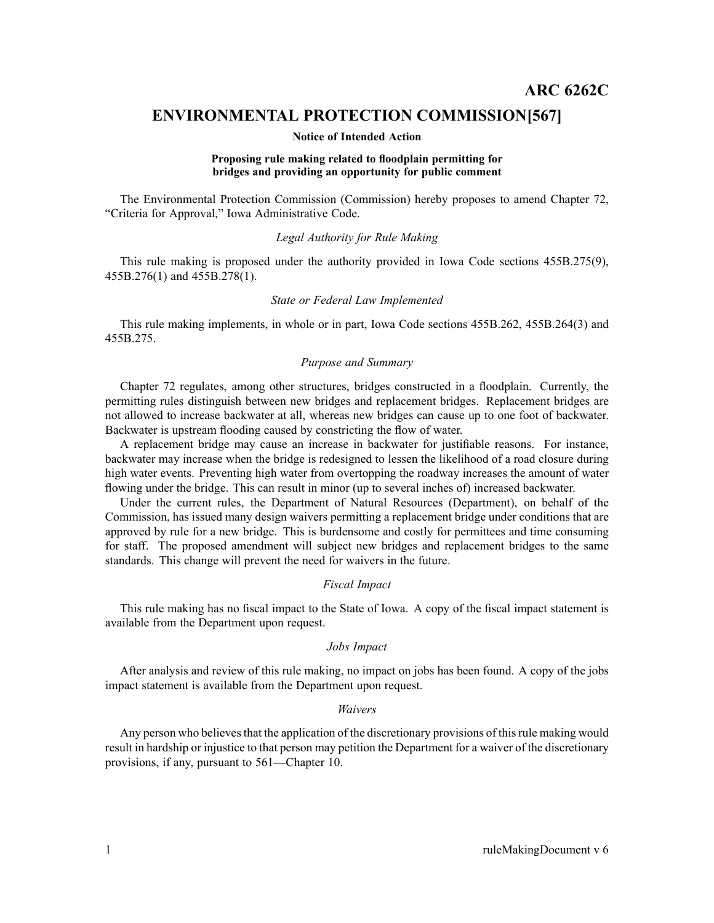# **ENVIRONMENTAL PROTECTION COMMISSION[567]**

#### **Notice of Intended Action**

#### **Proposing rule making related to floodplain permitting for bridges and providing an opportunity for public comment**

The Environmental Protection Commission (Commission) hereby proposes to amend Chapter 72, "Criteria for Approval," Iowa Administrative Code.

## *Legal Authority for Rule Making*

This rule making is proposed under the authority provided in Iowa Code sections 455B.275(9), 455B.276(1) and 455B.278(1).

#### *State or Federal Law Implemented*

This rule making implements, in whole or in part, Iowa Code sections 455B.262, 455B.264(3) and 455B.275.

## *Purpose and Summary*

Chapter 72 regulates, among other structures, bridges constructed in <sup>a</sup> floodplain. Currently, the permitting rules distinguish between new bridges and replacement bridges. Replacement bridges are not allowed to increase backwater at all, whereas new bridges can cause up to one foot of backwater. Backwater is upstream flooding caused by constricting the flow of water.

A replacement bridge may cause an increase in backwater for justifiable reasons. For instance, backwater may increase when the bridge is redesigned to lessen the likelihood of <sup>a</sup> road closure during high water events. Preventing high water from overtopping the roadway increases the amount of water flowing under the bridge. This can result in minor (up to several inches of) increased backwater.

Under the current rules, the Department of Natural Resources (Department), on behalf of the Commission, has issued many design waivers permitting <sup>a</sup> replacement bridge under conditions that are approved by rule for <sup>a</sup> new bridge. This is burdensome and costly for permittees and time consuming for staff. The proposed amendment will subject new bridges and replacement bridges to the same standards. This change will preven<sup>t</sup> the need for waivers in the future.

#### *Fiscal Impact*

This rule making has no fiscal impact to the State of Iowa. A copy of the fiscal impact statement is available from the Department upon request.

# *Jobs Impact*

After analysis and review of this rule making, no impact on jobs has been found. A copy of the jobs impact statement is available from the Department upon request.

#### *Waivers*

Any person who believes that the application of the discretionary provisions of this rule making would result in hardship or injustice to that person may petition the Department for <sup>a</sup> waiver of the discretionary provisions, if any, pursuan<sup>t</sup> to 561—Chapter 10.